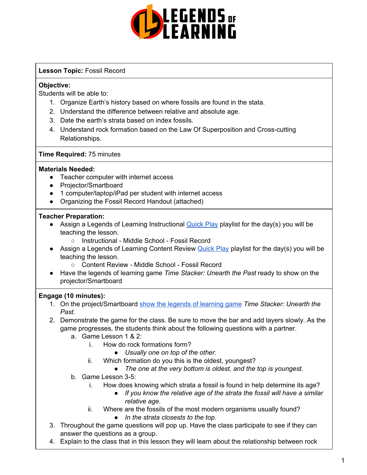

# **Lesson Topic:** Fossil Record

# **Objective:**

Students will be able to:

- 1. Organize Earth's history based on where fossils are found in the stata.
- 2. Understand the difference between relative and absolute age.
- 3. Date the earth's strata based on index fossils.
- 4. Understand rock formation based on the Law Of Superposition and Cross-cutting Relationships.

## **Time Required:** 75 minutes

## **Materials Needed:**

- Teacher computer with internet access
- Projector/Smartboard
- 1 computer/laptop/iPad per student with internet access
- Organizing the Fossil Record Handout (attached)

# **Teacher Preparation:**

- Assign a Legends of Learning Instructional **[Quick](https://intercom.help/legends-of-learning/en/articles/2701866-assigning-a-quick-play-playlist) Play playlist for the day(s)** you will be teaching the lesson.
	- Instructional Middle School Fossil Record
- **•** Assign a Legends of Learning Content Review [Quick](https://intercom.help/legends-of-learning/en/articles/2701866-assigning-a-quick-play-playlist) Play playlist for the day(s) you will be teaching the lesson.
	- Content Review Middle School Fossil Record
- Have the legends of learning game *Time Stacker: Unearth the Past* ready to show on the projector/Smartboard

# **Engage (10 minutes):**

- 1. On the project/Smartboard show the legends of [learning](https://intercom.help/legends-of-learning/en/articles/3497269-trying-games) game *Time Stacker: Unearth the Past*.
- 2. Demonstrate the game for the class. Be sure to move the bar and add layers slowly. As the game progresses, the students think about the following questions with a partner.
	- a. Game Lesson 1 & 2:
		- i. How do rock formations form?
			- *● Usually one on top of the other.*
		- ii. Which formation do you this is the oldest, youngest?
			- *● The one at the very bottom is oldest, and the top is youngest.*
	- b. Game Lesson 3-5:
		- i. How does knowing which strata a fossil is found in help determine its age?
			- *● If you know the relative age of the strata the fossil will have a similar relative age.*
		- ii. Where are the fossils of the most modern organisms usually found?
			- *● In the strata closests to the top.*
- 3. Throughout the game questions will pop up. Have the class participate to see if they can answer the questions as a group.
- 4. Explain to the class that in this lesson they will learn about the relationship between rock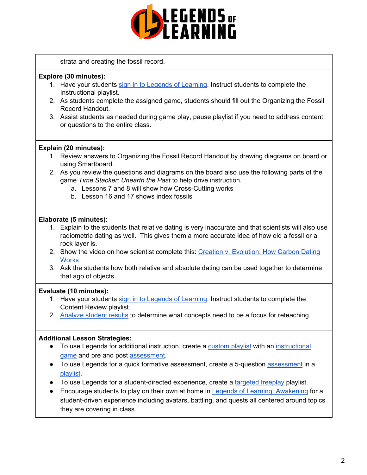

strata and creating the fossil record.

### **Explore (30 minutes):**

- 1. Have your students sign in to Legends of [Learning.](https://intercom.help/legends-of-learning/en/articles/2154920-students-joining-a-playlist) Instruct students to complete the Instructional playlist.
- 2. As students complete the assigned game, students should fill out the Organizing the Fossil Record Handout.
- 3. Assist students as needed during game play, pause playlist if you need to address content or questions to the entire class.

## **Explain (20 minutes):**

- 1. Review answers to Organizing the Fossil Record Handout by drawing diagrams on board or using Smartboard.
- 2. As you review the questions and diagrams on the board also use the following parts of the game *Time Stacker: Unearth the Past* to help drive instruction.
	- a. Lessons 7 and 8 will show how Cross-Cutting works
	- b. Lesson 16 and 17 shows index fossils

### **Elaborate (5 minutes):**

- 1. Explain to the students that relative dating is very inaccurate and that scientists will also use radiometric dating as well. This gives them a more accurate idea of how old a fossil or a rock layer is.
- 2. Show the video on how scientist complete this: Creation v. [Evolution:](https://www.youtube.com/watch?v=54e5Bz7m3do) How Carbon Dating **[Works](https://www.youtube.com/watch?v=54e5Bz7m3do)**
- 3. Ask the students how both relative and absolute dating can be used together to determine that ago of objects.

### **Evaluate (10 minutes):**

- 1. Have your students sign in to Legends of [Learning.](https://intercom.help/legends-of-learning/en/articles/2154920-students-joining-a-playlist) Instruct students to complete the Content Review playlist.
- 2. [Analyze](https://intercom.help/legends-of-learning/en/articles/2154918-tracking-student-progress-and-performance) student results to determine what concepts need to be a focus for reteaching.

### **Additional Lesson Strategies:**

- To use Legends for additional instruction, create a [custom](https://intercom.help/legends-of-learning/en/articles/2154910-creating-a-playlist) playlist with an [instructional](https://intercom.help/legends-of-learning/en/articles/3505828-types-of-games) [game](https://intercom.help/legends-of-learning/en/articles/3505828-types-of-games) and pre and post [assessment](https://intercom.help/legends-of-learning/en/articles/2154913-adding-assessments-to-a-playlist).
- To use Legends for a quick formative [assessment](https://intercom.help/legends-of-learning/en/articles/2154913-adding-assessments-to-a-playlist), create a 5-question assessment in a [playlist](https://intercom.help/legends-of-learning/en/articles/2154910-creating-a-playlist).
- To use Legends for a student-directed experience, create a [targeted](https://intercom.help/legends-of-learning/en/articles/3340814-targeted-freeplay) freeplay playlist.
- Encourage students to play on their own at home in Legends of Learning: [Awakening](https://intercom.help/legends-of-learning/en/articles/2425490-legends-of-learning-awakening) for a student-driven experience including avatars, battling, and quests all centered around topics they are covering in class.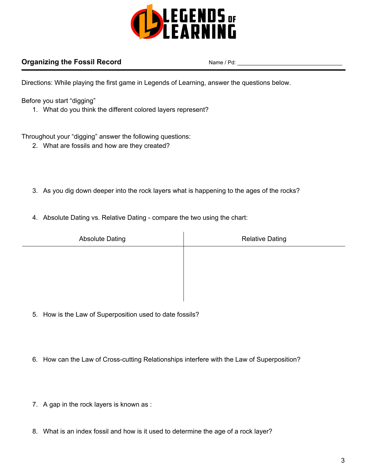

# **Organizing the Fossil Record** Name / Pd:

Directions: While playing the first game in Legends of Learning, answer the questions below.

Before you start "digging"

1. What do you think the different colored layers represent?

Throughout your "digging" answer the following questions:

- 2. What are fossils and how are they created?
- 3. As you dig down deeper into the rock layers what is happening to the ages of the rocks?
- 4. Absolute Dating vs. Relative Dating compare the two using the chart:

| <b>Absolute Dating</b> | <b>Relative Dating</b> |
|------------------------|------------------------|
|                        |                        |
|                        |                        |
|                        |                        |
|                        |                        |

- 5. How is the Law of Superposition used to date fossils?
- 6. How can the Law of Cross-cutting Relationships interfere with the Law of Superposition?
- 7. A gap in the rock layers is known as :
- 8. What is an index fossil and how is it used to determine the age of a rock layer?